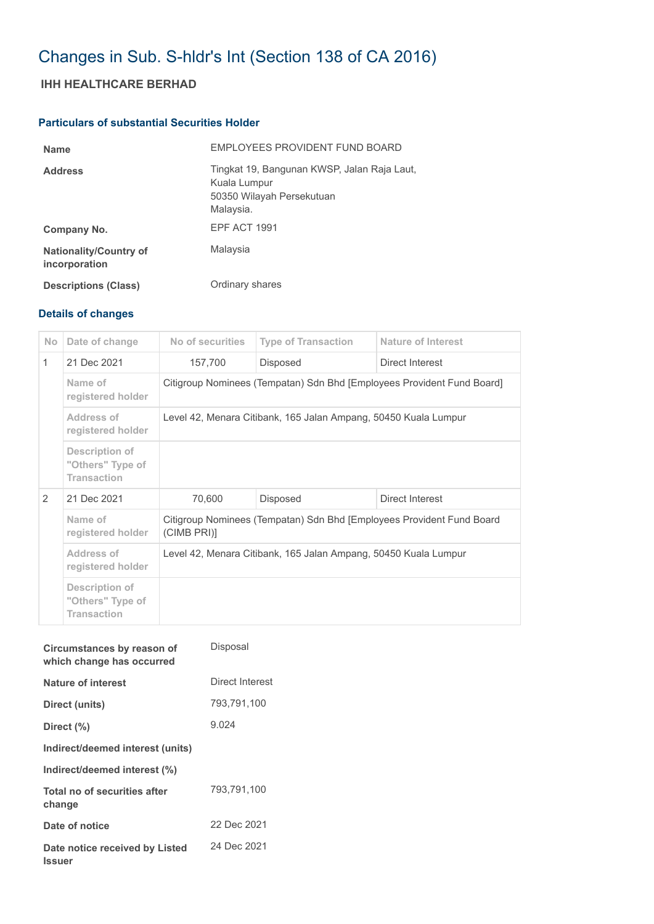# Changes in Sub. S-hldr's Int (Section 138 of CA 2016)

## **IHH HEALTHCARE BERHAD**

## **Particulars of substantial Securities Holder**

| <b>Name</b>                                    | EMPLOYEES PROVIDENT FUND BOARD                                                                        |
|------------------------------------------------|-------------------------------------------------------------------------------------------------------|
| <b>Address</b>                                 | Tingkat 19, Bangunan KWSP, Jalan Raja Laut,<br>Kuala Lumpur<br>50350 Wilayah Persekutuan<br>Malaysia. |
| Company No.                                    | EPF ACT 1991                                                                                          |
| <b>Nationality/Country of</b><br>incorporation | Malaysia                                                                                              |
| <b>Descriptions (Class)</b>                    | Ordinary shares                                                                                       |

## **Details of changes**

| <b>No</b>     | Date of change                                           | No of securities                                                                    | <b>Type of Transaction</b> | Nature of Interest |  |
|---------------|----------------------------------------------------------|-------------------------------------------------------------------------------------|----------------------------|--------------------|--|
| 1             | 21 Dec 2021                                              | 157,700                                                                             | <b>Disposed</b>            | Direct Interest    |  |
|               | Name of<br>registered holder                             | Citigroup Nominees (Tempatan) Sdn Bhd [Employees Provident Fund Board]              |                            |                    |  |
|               | Address of<br>registered holder                          | Level 42, Menara Citibank, 165 Jalan Ampang, 50450 Kuala Lumpur                     |                            |                    |  |
|               | Description of<br>"Others" Type of<br><b>Transaction</b> |                                                                                     |                            |                    |  |
| $\mathcal{P}$ | 21 Dec 2021                                              | 70,600                                                                              | <b>Disposed</b>            | Direct Interest    |  |
|               | Name of<br>registered holder                             | Citigroup Nominees (Tempatan) Sdn Bhd [Employees Provident Fund Board<br>(CIMB PRI) |                            |                    |  |
|               | Address of<br>registered holder                          | Level 42, Menara Citibank, 165 Jalan Ampang, 50450 Kuala Lumpur                     |                            |                    |  |
|               | Description of<br>"Others" Type of<br><b>Transaction</b> |                                                                                     |                            |                    |  |

| Circumstances by reason of<br>which change has occurred | Disposal        |
|---------------------------------------------------------|-----------------|
| Nature of interest                                      | Direct Interest |
| Direct (units)                                          | 793,791,100     |
| Direct (%)                                              | 9.024           |
| Indirect/deemed interest (units)                        |                 |
| Indirect/deemed interest (%)                            |                 |
| Total no of securities after<br>change                  | 793,791,100     |
| Date of notice                                          | 22 Dec 2021     |
| Date notice received by Listed<br><b>Issuer</b>         | 24 Dec 2021     |